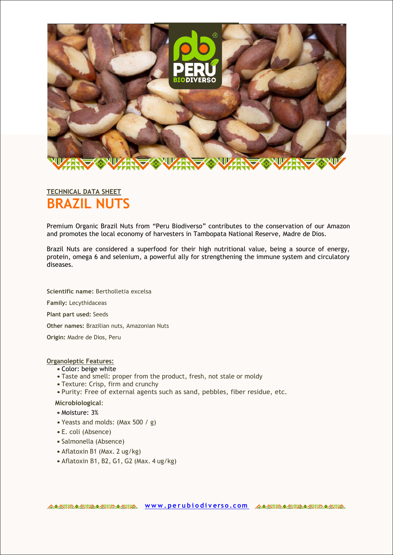

# **BRAZIL NUTS TECHNICAL DATA SHEET**

Premium Organic Brazil Nuts from "Peru Biodiverso" contributes to the conservation of our Amazon and promotes the local economy of harvesters in Tambopata National Reserve, Madre de Dios.

Brazil Nuts are considered a superfood for their high nutritional value, being a source of energy, protein, omega 6 and selenium, a powerful ally for strengthening the immune system and circulatory diseases.

**Scientific name:** Bertholletia excelsa **Family:** Lecythidaceas **Plant part used:** Seeds **Other names:** Brazilian nuts, Amazonian Nuts **Origin:** Madre de Dios, Peru

# **Organoleptic Features:**

- Color: beige white
- Taste and smell: proper from the product, fresh, not stale or moldy
- Texture: Crisp, firm and crunchy
- Purity: Free of external agents such as sand, pebbles, fiber residue, etc.

### **Microbiological**:

- Moisture: 3%
- Yeasts and molds: (Max 500 / g)
- E. coli (Absence)
- Salmonella (Absence)
- Aflatoxin B1 (Max. 2 ug/kg)
- Aflatoxin B1, B2, G1, G2 (Max. 4 ug/kg)